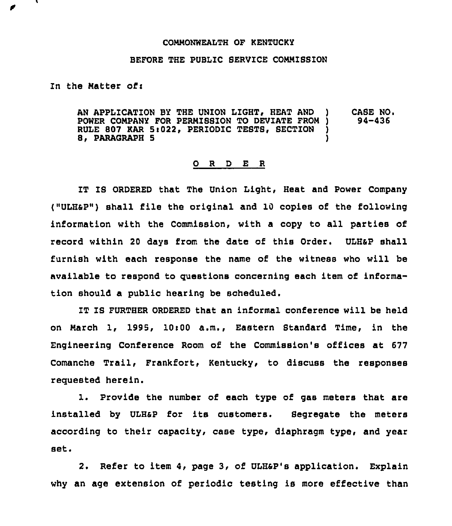## COMMONWEALTH OF KENTUCKY

## BEFORE THE PUBLIC SERVICE COMMISSION

In the Matter of:

AN APPLICATION BY THE UNION LIGHT, HEAT AND ) CASE NO.<br>POWER COMPANY FOR PERMISSION TO DEVIATE FROM ) 94-436 POWER COMPANY FOR PERMISSION TO DEVIATE FROM )<br>RULE 807 KAR 5:022, PERIODIC TESTS, SECTION ) RULE 807 KAR 5:022, PERIODIC TESTS, SECTION )<br>8, PARAGRAPH 5 8, PARAGRAPH 5

## 0 <sup>R</sup> <sup>D</sup> E <sup>R</sup>

IT IS ORDERED that The Union Light, Heat and Power Company ("ULHSP") shall file the original and 10 copies of the following information with the Commission, with a copy to all parties of record within 20 days from the date of this Order. ULHaP shall furnish with each response the name of the witness who will be available to respond to questions concerning each item of information should a public hearing be scheduled.

IT IS FURTHER ORDERED that an informal conference will be held on Narch 1, 1995, 10~00 a.m., Eastern Btandard Time, in the Engineering Conference Room of the Commission's offices &t 677 Comanche Trail, Frankfort, Kentucky, to discuss the responses requested herein.

1. Provide the number of each type of gas meters that are installed by ULHaP for its customers. Segregate the meters according to their capacity, case type, diaphragm type, and year set.

2. Refer to item 4, page 3, of ULHsp's application. Explain why an age extension of periodic testing is more effective than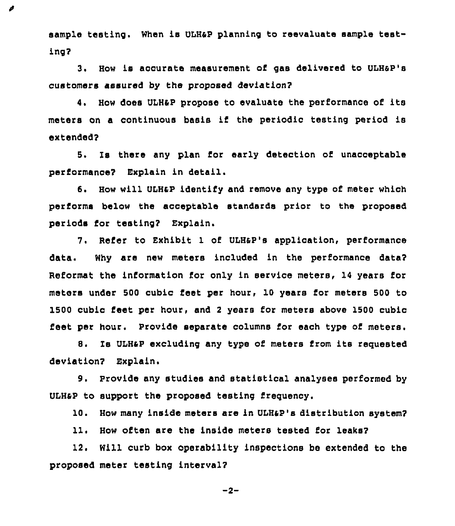sample testing. When is ULH&P planning to reevaluate sample testing?

ø

3. How is accurate measurement of gas delivered to ULH&P's customers assured by the proposed deviation?

4. How does ULH&P propose to evaluate the performance of its meters on a continuous basis if the periodic testing period is extended?

5. Is there any plan for early detection of unacceptable performance? Explain in detail.

6. How will ULH&P identify and remove any type of meter which performs below the acceptable standards prior to the proposed periods for testing? Explain.

7. Refer to Exhibit 1 of ULH&P's application, performance data. Why are new meters included in the performance data? Reformat the information for only in service meters, 14 years for meters under 500 cubic feet per hour, 10 years for meters 500 to 1500 cubic feet per hour, and <sup>2</sup> years for meters above 1500 cubic feet per hour. Provide separate columns for each type of meters.

8. Is ULH&P excluding any type of meters from its requested deviation? Explain.

9. Provide any studies and statistical analyses performed by ULH&P to support the proposed testing freguency.

10. How many inside meters are in UIH&P's distribution system?

11. How often are the inside meters tested for leaks?

12. Will curb box operability inspections be extended to the proposed meter testing interval?

 $-2-$